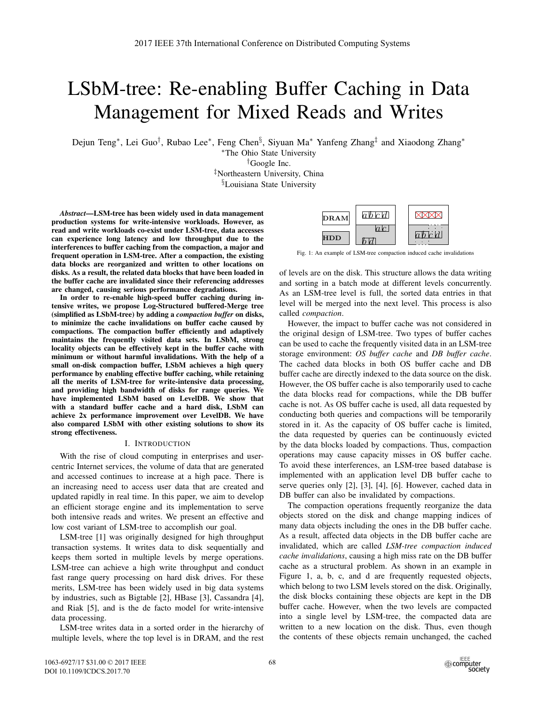# LSbM-tree: Re-enabling Buffer Caching in Data Management for Mixed Reads and Writes

Dejun Teng∗, Lei Guo†, Rubao Lee∗, Feng Chen§, Siyuan Ma∗ Yanfeng Zhang‡ and Xiaodong Zhang∗

∗The Ohio State University

†Google Inc. ‡Northeastern University, China §Louisiana State University

*Abstract*—LSM-tree has been widely used in data management production systems for write-intensive workloads. However, as read and write workloads co-exist under LSM-tree, data accesses can experience long latency and low throughput due to the interferences to buffer caching from the compaction, a major and frequent operation in LSM-tree. After a compaction, the existing data blocks are reorganized and written to other locations on disks. As a result, the related data blocks that have been loaded in the buffer cache are invalidated since their referencing addresses are changed, causing serious performance degradations.

In order to re-enable high-speed buffer caching during intensive writes, we propose Log-Structured buffered-Merge tree (simplified as LSbM-tree) by adding a *compaction buffer* on disks, to minimize the cache invalidations on buffer cache caused by compactions. The compaction buffer efficiently and adaptively maintains the frequently visited data sets. In LSbM, strong locality objects can be effectively kept in the buffer cache with minimum or without harmful invalidations. With the help of a small on-disk compaction buffer, LSbM achieves a high query performance by enabling effective buffer caching, while retaining all the merits of LSM-tree for write-intensive data processing, and providing high bandwidth of disks for range queries. We have implemented LSbM based on LevelDB. We show that with a standard buffer cache and a hard disk, LSbM can achieve 2x performance improvement over LevelDB. We have also compared LSbM with other existing solutions to show its strong effectiveness.

# I. INTRODUCTION

With the rise of cloud computing in enterprises and usercentric Internet services, the volume of data that are generated and accessed continues to increase at a high pace. There is an increasing need to access user data that are created and updated rapidly in real time. In this paper, we aim to develop an efficient storage engine and its implementation to serve both intensive reads and writes. We present an effective and low cost variant of LSM-tree to accomplish our goal.

LSM-tree [1] was originally designed for high throughput transaction systems. It writes data to disk sequentially and keeps them sorted in multiple levels by merge operations. LSM-tree can achieve a high write throughput and conduct fast range query processing on hard disk drives. For these merits, LSM-tree has been widely used in big data systems by industries, such as Bigtable [2], HBase [3], Cassandra [4], and Riak [5], and is the de facto model for write-intensive data processing.

LSM-tree writes data in a sorted order in the hierarchy of multiple levels, where the top level is in DRAM, and the rest

| <b>DRAM</b> | a b c d |      |
|-------------|---------|------|
| HDD         |         | abcd |

Fig. 1: An example of LSM-tree compaction induced cache invalidations

of levels are on the disk. This structure allows the data writing and sorting in a batch mode at different levels concurrently. As an LSM-tree level is full, the sorted data entries in that level will be merged into the next level. This process is also called *compaction*.

However, the impact to buffer cache was not considered in the original design of LSM-tree. Two types of buffer caches can be used to cache the frequently visited data in an LSM-tree storage environment: *OS buffer cache* and *DB buffer cache*. The cached data blocks in both OS buffer cache and DB buffer cache are directly indexed to the data source on the disk. However, the OS buffer cache is also temporarily used to cache the data blocks read for compactions, while the DB buffer cache is not. As OS buffer cache is used, all data requested by conducting both queries and compactions will be temporarily stored in it. As the capacity of OS buffer cache is limited, the data requested by queries can be continuously evicted by the data blocks loaded by compactions. Thus, compaction operations may cause capacity misses in OS buffer cache. To avoid these interferences, an LSM-tree based database is implemented with an application level DB buffer cache to serve queries only [2], [3], [4], [6]. However, cached data in DB buffer can also be invalidated by compactions.

The compaction operations frequently reorganize the data objects stored on the disk and change mapping indices of many data objects including the ones in the DB buffer cache. As a result, affected data objects in the DB buffer cache are invalidated, which are called *LSM-tree compaction induced cache invalidations*, causing a high miss rate on the DB buffer cache as a structural problem. As shown in an example in Figure 1, a, b, c, and d are frequently requested objects, which belong to two LSM levels stored on the disk. Originally, the disk blocks containing these objects are kept in the DB buffer cache. However, when the two levels are compacted into a single level by LSM-tree, the compacted data are written to a new location on the disk. Thus, even though the contents of these objects remain unchanged, the cached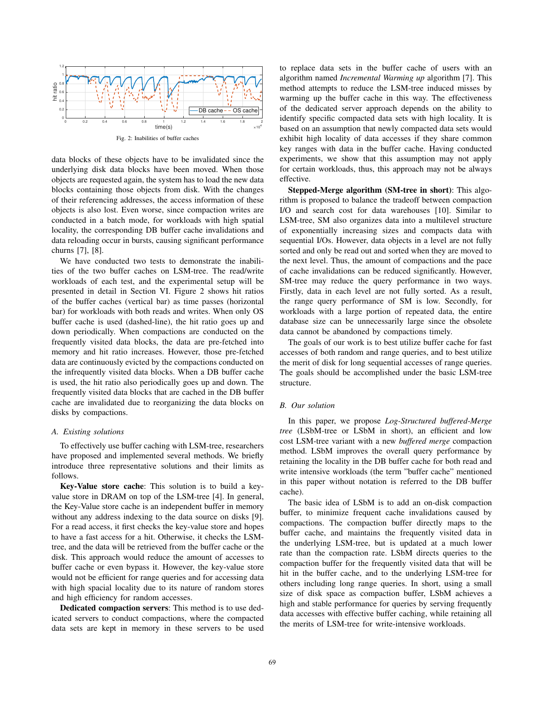

Fig. 2: Inabilities of buffer caches

data blocks of these objects have to be invalidated since the underlying disk data blocks have been moved. When those objects are requested again, the system has to load the new data blocks containing those objects from disk. With the changes of their referencing addresses, the access information of these objects is also lost. Even worse, since compaction writes are conducted in a batch mode, for workloads with high spatial locality, the corresponding DB buffer cache invalidations and data reloading occur in bursts, causing significant performance churns [7], [8].

We have conducted two tests to demonstrate the inabilities of the two buffer caches on LSM-tree. The read/write workloads of each test, and the experimental setup will be presented in detail in Section VI. Figure 2 shows hit ratios of the buffer caches (vertical bar) as time passes (horizontal bar) for workloads with both reads and writes. When only OS buffer cache is used (dashed-line), the hit ratio goes up and down periodically. When compactions are conducted on the frequently visited data blocks, the data are pre-fetched into memory and hit ratio increases. However, those pre-fetched data are continuously evicted by the compactions conducted on the infrequently visited data blocks. When a DB buffer cache is used, the hit ratio also periodically goes up and down. The frequently visited data blocks that are cached in the DB buffer cache are invalidated due to reorganizing the data blocks on disks by compactions.

#### *A. Existing solutions*

To effectively use buffer caching with LSM-tree, researchers have proposed and implemented several methods. We briefly introduce three representative solutions and their limits as follows.

Key-Value store cache: This solution is to build a keyvalue store in DRAM on top of the LSM-tree [4]. In general, the Key-Value store cache is an independent buffer in memory without any address indexing to the data source on disks [9]. For a read access, it first checks the key-value store and hopes to have a fast access for a hit. Otherwise, it checks the LSMtree, and the data will be retrieved from the buffer cache or the disk. This approach would reduce the amount of accesses to buffer cache or even bypass it. However, the key-value store would not be efficient for range queries and for accessing data with high spacial locality due to its nature of random stores and high efficiency for random accesses.

Dedicated compaction servers: This method is to use dedicated servers to conduct compactions, where the compacted data sets are kept in memory in these servers to be used to replace data sets in the buffer cache of users with an algorithm named *Incremental Warming up* algorithm [7]. This method attempts to reduce the LSM-tree induced misses by warming up the buffer cache in this way. The effectiveness of the dedicated server approach depends on the ability to identify specific compacted data sets with high locality. It is based on an assumption that newly compacted data sets would exhibit high locality of data accesses if they share common key ranges with data in the buffer cache. Having conducted experiments, we show that this assumption may not apply for certain workloads, thus, this approach may not be always effective.

Stepped-Merge algorithm (SM-tree in short): This algorithm is proposed to balance the tradeoff between compaction I/O and search cost for data warehouses [10]. Similar to LSM-tree, SM also organizes data into a multilevel structure of exponentially increasing sizes and compacts data with sequential I/Os. However, data objects in a level are not fully sorted and only be read out and sorted when they are moved to the next level. Thus, the amount of compactions and the pace of cache invalidations can be reduced significantly. However, SM-tree may reduce the query performance in two ways. Firstly, data in each level are not fully sorted. As a result, the range query performance of SM is low. Secondly, for workloads with a large portion of repeated data, the entire database size can be unnecessarily large since the obsolete data cannot be abandoned by compactions timely.

The goals of our work is to best utilize buffer cache for fast accesses of both random and range queries, and to best utilize the merit of disk for long sequential accesses of range queries. The goals should be accomplished under the basic LSM-tree structure.

## *B. Our solution*

In this paper, we propose *Log-Structured buffered-Merge tree* (LSbM-tree or LSbM in short), an efficient and low cost LSM-tree variant with a new *buffered merge* compaction method. LSbM improves the overall query performance by retaining the locality in the DB buffer cache for both read and write intensive workloads (the term "buffer cache" mentioned in this paper without notation is referred to the DB buffer cache).

The basic idea of LSbM is to add an on-disk compaction buffer, to minimize frequent cache invalidations caused by compactions. The compaction buffer directly maps to the buffer cache, and maintains the frequently visited data in the underlying LSM-tree, but is updated at a much lower rate than the compaction rate. LSbM directs queries to the compaction buffer for the frequently visited data that will be hit in the buffer cache, and to the underlying LSM-tree for others including long range queries. In short, using a small size of disk space as compaction buffer, LSbM achieves a high and stable performance for queries by serving frequently data accesses with effective buffer caching, while retaining all the merits of LSM-tree for write-intensive workloads.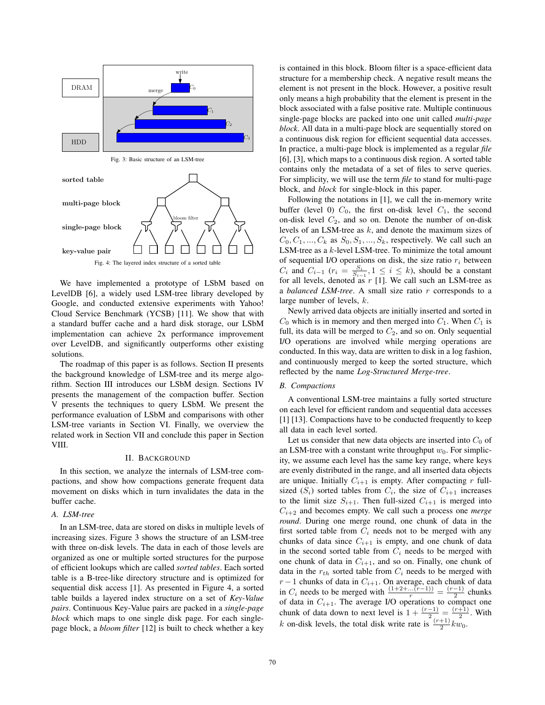

We have implemented a prototype of LSbM based on LevelDB [6], a widely used LSM-tree library developed by Google, and conducted extensive experiments with Yahoo! Cloud Service Benchmark (YCSB) [11]. We show that with a standard buffer cache and a hard disk storage, our LSbM implementation can achieve 2x performance improvement over LevelDB, and significantly outperforms other existing solutions.

The roadmap of this paper is as follows. Section II presents the background knowledge of LSM-tree and its merge algorithm. Section III introduces our LSbM design. Sections IV presents the management of the compaction buffer. Section V presents the techniques to query LSbM. We present the performance evaluation of LSbM and comparisons with other LSM-tree variants in Section VI. Finally, we overview the related work in Section VII and conclude this paper in Section VIII.

#### II. BACKGROUND

In this section, we analyze the internals of LSM-tree compactions, and show how compactions generate frequent data movement on disks which in turn invalidates the data in the buffer cache.

# *A. LSM-tree*

In an LSM-tree, data are stored on disks in multiple levels of increasing sizes. Figure 3 shows the structure of an LSM-tree with three on-disk levels. The data in each of those levels are organized as one or multiple sorted structures for the purpose of efficient lookups which are called *sorted tables*. Each sorted table is a B-tree-like directory structure and is optimized for sequential disk access [1]. As presented in Figure 4, a sorted table builds a layered index structure on a set of *Key-Value pairs*. Continuous Key-Value pairs are packed in a *single-page block* which maps to one single disk page. For each singlepage block, a *bloom filter* [12] is built to check whether a key

is contained in this block. Bloom filter is a space-efficient data structure for a membership check. A negative result means the element is not present in the block. However, a positive result only means a high probability that the element is present in the block associated with a false positive rate. Multiple continuous single-page blocks are packed into one unit called *multi-page block*. All data in a multi-page block are sequentially stored on a continuous disk region for efficient sequential data accesses. In practice, a multi-page block is implemented as a regular *file* [6], [3], which maps to a continuous disk region. A sorted table contains only the metadata of a set of files to serve queries. For simplicity, we will use the term *file* to stand for multi-page block, and *block* for single-block in this paper.

Following the notations in [1], we call the in-memory write buffer (level 0)  $C_0$ , the first on-disk level  $C_1$ , the second on-disk level  $C_2$ , and so on. Denote the number of on-disk levels of an LSM-tree as  $k$ , and denote the maximum sizes of  $C_0, C_1, ..., C_k$  as  $S_0, S_1, ..., S_k$ , respectively. We call such an LSM-tree as a  $k$ -level LSM-tree. To minimize the total amount of sequential I/O operations on disk, the size ratio  $r_i$  between  $C_i$  and  $C_{i-1}$   $(r_i = \frac{S_i}{S_{i-1}}, 1 \le i \le k)$ , should be a constant for all levels denoted as r [1]. We call such an I SM-tree as for all levels, denoted as  $r$  [1]. We call such an LSM-tree as a *balanced LSM-tree*. A small size ratio r corresponds to a large number of levels, k.

Newly arrived data objects are initially inserted and sorted in  $C_0$  which is in memory and then merged into  $C_1$ . When  $C_1$  is full, its data will be merged to  $C_2$ , and so on. Only sequential I/O operations are involved while merging operations are conducted. In this way, data are written to disk in a log fashion, and continuously merged to keep the sorted structure, which reflected by the name *Log-Structured Merge-tree*.

# *B. Compactions*

A conventional LSM-tree maintains a fully sorted structure on each level for efficient random and sequential data accesses [1] [13]. Compactions have to be conducted frequently to keep all data in each level sorted.

Let us consider that new data objects are inserted into  $C_0$  of an LSM-tree with a constant write throughput  $w_0$ . For simplicity, we assume each level has the same key range, where keys are evenly distributed in the range, and all inserted data objects are unique. Initially  $C_{i+1}$  is empty. After compacting r fullsized  $(S_i)$  sorted tables from  $C_i$ , the size of  $C_{i+1}$  increases to the limit size  $S_{i+1}$ . Then full-sized  $C_{i+1}$  is merged into  $C_{i+2}$  and becomes empty. We call such a process one *merge round*. During one merge round, one chunk of data in the first sorted table from  $C_i$  needs not to be merged with any chunks of data since  $C_{i+1}$  is empty, and one chunk of data in the second sorted table from  $C_i$  needs to be merged with one chunk of data in  $C_{i+1}$ , and so on. Finally, one chunk of data in the  $r_{th}$  sorted table from  $C_i$  needs to be merged with  $r-1$  chunks of data in  $C_{i+1}$ . On average, each chunk of data in  $C_i$  needs to be merged with  $\frac{(1+2+\dots(r-1))}{r} = \frac{(r-1)}{2}$  chunks<br>of data in  $C_{i+1}$ . The average I/O operations to compact one of data in  $C_{i+1}$ . The average I/O operations to compact one chunk of data down to next level is  $1 + \frac{(r-1)}{2} = \frac{(r+1)}{2}$ . With k on-disk levels, the total disk write rate is  $\frac{(r+1)}{2}kw_0$ .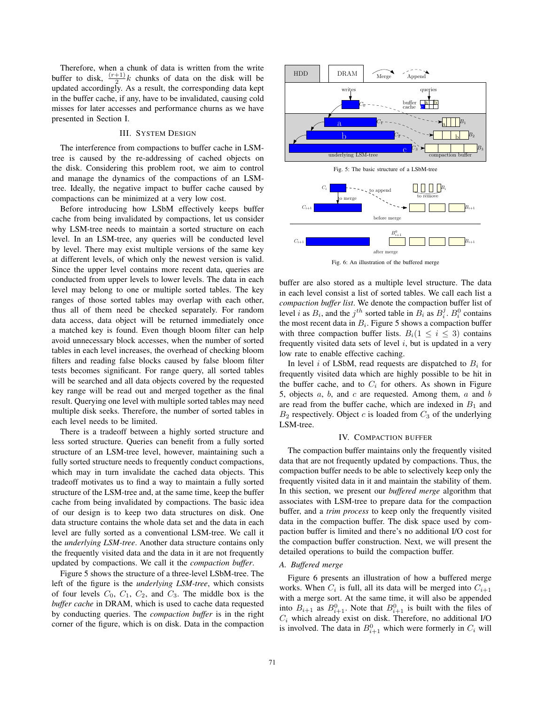Therefore, when a chunk of data is written from the write buffer to disk,  $\frac{(r+1)}{2}k$  chunks of data on the disk will be updated accordingly. As a result, the corresponding data kept in the buffer cache, if any, have to be invalidated, causing cold misses for later accesses and performance churns as we have presented in Section I.

#### III. SYSTEM DESIGN

The interference from compactions to buffer cache in LSMtree is caused by the re-addressing of cached objects on the disk. Considering this problem root, we aim to control and manage the dynamics of the compactions of an LSMtree. Ideally, the negative impact to buffer cache caused by compactions can be minimized at a very low cost.

Before introducing how LSbM effectively keeps buffer cache from being invalidated by compactions, let us consider why LSM-tree needs to maintain a sorted structure on each level. In an LSM-tree, any queries will be conducted level by level. There may exist multiple versions of the same key at different levels, of which only the newest version is valid. Since the upper level contains more recent data, queries are conducted from upper levels to lower levels. The data in each level may belong to one or multiple sorted tables. The key ranges of those sorted tables may overlap with each other, thus all of them need be checked separately. For random data access, data object will be returned immediately once a matched key is found. Even though bloom filter can help avoid unnecessary block accesses, when the number of sorted tables in each level increases, the overhead of checking bloom filters and reading false blocks caused by false bloom filter tests becomes significant. For range query, all sorted tables will be searched and all data objects covered by the requested key range will be read out and merged together as the final result. Querying one level with multiple sorted tables may need multiple disk seeks. Therefore, the number of sorted tables in each level needs to be limited.

There is a tradeoff between a highly sorted structure and less sorted structure. Queries can benefit from a fully sorted structure of an LSM-tree level, however, maintaining such a fully sorted structure needs to frequently conduct compactions, which may in turn invalidate the cached data objects. This tradeoff motivates us to find a way to maintain a fully sorted structure of the LSM-tree and, at the same time, keep the buffer cache from being invalidated by compactions. The basic idea of our design is to keep two data structures on disk. One data structure contains the whole data set and the data in each level are fully sorted as a conventional LSM-tree. We call it the *underlying LSM-tree*. Another data structure contains only the frequently visited data and the data in it are not frequently updated by compactions. We call it the *compaction buffer*.

Figure 5 shows the structure of a three-level LSbM-tree. The left of the figure is the *underlying LSM-tree*, which consists of four levels  $C_0$ ,  $C_1$ ,  $C_2$ , and  $C_3$ . The middle box is the *buffer cache* in DRAM, which is used to cache data requested by conducting queries. The *compaction buffer* is in the right corner of the figure, which is on disk. Data in the compaction



Fig. 6: An illustration of the buffered merge

buffer are also stored as a multiple level structure. The data in each level consist a list of sorted tables. We call each list a *compaction buffer list*. We denote the compaction buffer list of level *i* as  $B_i$ , and the *j*<sup>th</sup> sorted table in  $B_i$  as  $B_i^j$ .  $B_i^0$  contains the most recent data in  $B_i$ . Figure 5 shows a connaction buffer the most recent data in  $B_i$ . Figure 5 shows a compaction buffer with three compaction buffer lists.  $B_i(1 \leq i \leq 3)$  contains frequently visited data sets of level  $i$ , but is updated in a very low rate to enable effective caching.

In level i of LSbM, read requests are dispatched to  $B_i$  for frequently visited data which are highly possible to be hit in the buffer cache, and to  $C_i$  for others. As shown in Figure 5, objects  $a, b$ , and  $c$  are requested. Among them,  $a$  and  $b$ are read from the buffer cache, which are indexed in  $B_1$  and  $B_2$  respectively. Object c is loaded from  $C_3$  of the underlying LSM-tree.

#### IV. COMPACTION BUFFER

The compaction buffer maintains only the frequently visited data that are not frequently updated by compactions. Thus, the compaction buffer needs to be able to selectively keep only the frequently visited data in it and maintain the stability of them. In this section, we present our *buffered merge* algorithm that associates with LSM-tree to prepare data for the compaction buffer, and a *trim process* to keep only the frequently visited data in the compaction buffer. The disk space used by compaction buffer is limited and there's no additional I/O cost for the compaction buffer construction. Next, we will present the detailed operations to build the compaction buffer.

## *A. Buffered merge*

Figure 6 presents an illustration of how a buffered merge works. When  $C_i$  is full, all its data will be merged into  $C_{i+1}$ with a merge sort. At the same time, it will also be appended into  $B_{i+1}$  as  $B_{i+1}^0$ . Note that  $B_{i+1}^0$  is built with the files of  $C_i$  which already exist on disk. Therefore, no additional  $V_0$  $C_i$  which already exist on disk. Therefore, no additional I/O is involved. The data in  $B_{i+1}^0$  which were formerly in  $C_i$  will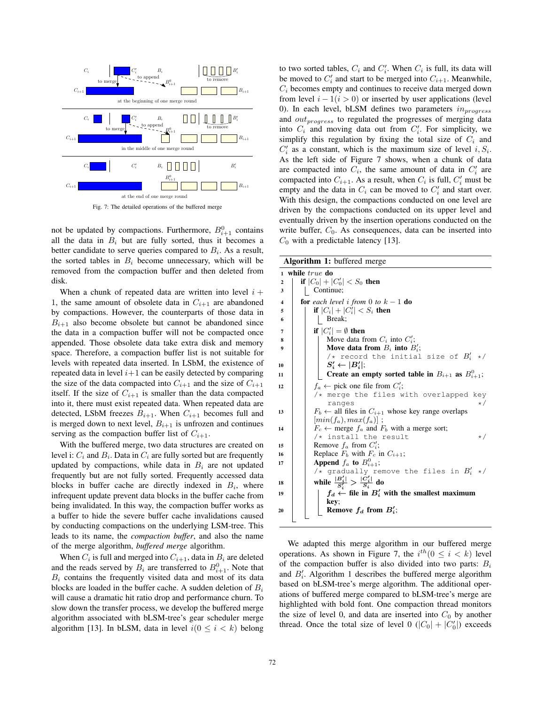

Fig. 7: The detailed operations of the buffered merge

not be updated by compactions. Furthermore,  $B_{i+1}^0$  contains<br>all the data in  $B_i$ , but are fully sorted, thus it becomes a all the data in  $B_i$  but are fully sorted, thus it becomes a better candidate to serve queries compared to  $B_i$ . As a result, the sorted tables in  $B_i$  become unnecessary, which will be removed from the compaction buffer and then deleted from disk.

When a chunk of repeated data are written into level  $i +$ 1, the same amount of obsolete data in  $C_{i+1}$  are abandoned by compactions. However, the counterparts of those data in  $B_{i+1}$  also become obsolete but cannot be abandoned since the data in a compaction buffer will not be compacted once appended. Those obsolete data take extra disk and memory space. Therefore, a compaction buffer list is not suitable for levels with repeated data inserted. In LSbM, the existence of repeated data in level  $i+1$  can be easily detected by comparing the size of the data compacted into  $C_{i+1}$  and the size of  $C_{i+1}$ itself. If the size of  $C_{i+1}$  is smaller than the data compacted into it, there must exist repeated data. When repeated data are detected, LSbM freezes  $B_{i+1}$ . When  $C_{i+1}$  becomes full and is merged down to next level,  $B_{i+1}$  is unfrozen and continues serving as the compaction buffer list of  $C_{i+1}$ .

With the buffered merge, two data structures are created on level i:  $C_i$  and  $B_i$ . Data in  $C_i$  are fully sorted but are frequently updated by compactions, while data in  $B_i$  are not updated frequently but are not fully sorted. Frequently accessed data blocks in buffer cache are directly indexed in  $B_i$ , where infrequent update prevent data blocks in the buffer cache from being invalidated. In this way, the compaction buffer works as a buffer to hide the severe buffer cache invalidations caused by conducting compactions on the underlying LSM-tree. This leads to its name, the *compaction buffer*, and also the name of the merge algorithm, *buffered merge* algorithm.

When  $C_i$  is full and merged into  $C_{i+1}$ , data in  $B_i$  are deleted and the reads served by  $B_i$  are transferred to  $B_{i+1}^0$ . Note that  $B_i$  contains the frequently visited data and most of its data  $B_i$  contains the frequently visited data and most of its data<br>blocks are looded in the hyfer soche. A sydden delation of  $B$ blocks are loaded in the buffer cache. A sudden deletion of  $B_i$ will cause a dramatic hit ratio drop and performance churn. To slow down the transfer process, we develop the buffered merge algorithm associated with bLSM-tree's gear scheduler merge algorithm [13]. In bLSM, data in level  $i(0 \le i \le k)$  belong

to two sorted tables,  $C_i$  and  $C'_i$ . When  $C_i$  is full, its data will<br>be moved to  $C'_i$  and start to be marged into  $C_i$ . Meanwhile be moved to  $C_i'$  and start to be merged into  $C_{i+1}$ . Meanwhile,  $C_i$  becomes empty and continues to receive data merged down  $C_i$  becomes empty and continues to receive data merged down from level  $i - 1(i > 0)$  or inserted by user applications (level 0). In each level, bLSM defines two parameters  $in<sub>process</sub>$ and  $out_{progress}$  to regulated the progresses of merging data into  $C_i$  and moving data out from  $C'_i$ . For simplicity, we<br>examplify this requision by fixing the total size of  $C_i$  and simplify this regulation by fixing the total size of  $C_i$  and  $C_i'$  as a constant, which is the maximum size of level i,  $S_i$ .<br>As the left side of Figure 7 shows, when a chunk of data As the left side of Figure 7 shows, when a chunk of data are compacted into  $C_i$ , the same amount of data in  $C'_i$  are compacted into  $C_{i-1}$ . As a result, when  $C_i$  is full  $C'$  must be compacted into  $C_{i+1}$ . As a result, when  $C_i$  is full,  $C'_i$  must be empty and the data in  $C_i$  can be moved to  $C'$  and start over empty and the data in  $C_i$  can be moved to  $C'_i$  and start over.<br>With this design the compactions conducted on one level are With this design, the compactions conducted on one level are driven by the compactions conducted on its upper level and eventually driven by the insertion operations conducted on the write buffer,  $C_0$ . As consequences, data can be inserted into  $C_0$  with a predictable latency [13].

Algorithm 1: buffered merge

| Algoriumi 1. buncica merge |                                                                  |  |  |  |  |
|----------------------------|------------------------------------------------------------------|--|--|--|--|
| 1 while true do            |                                                                  |  |  |  |  |
| $\boldsymbol{2}$           | <b>if</b> $ C_0  +  C'_0  < S_0$ then                            |  |  |  |  |
| 3                          | Continue;                                                        |  |  |  |  |
| 4                          | <b>for</b> each level i from 0 to $k-1$ <b>do</b>                |  |  |  |  |
| 5                          | <b>if</b> $ C_i  +  C'_i  < S_i$ then                            |  |  |  |  |
| 6                          | Break;                                                           |  |  |  |  |
| 7                          | if $ C_i'  = \emptyset$ then                                     |  |  |  |  |
| 8                          | Move data from $C_i$ into $C'_i$ ;                               |  |  |  |  |
| $\boldsymbol{9}$           | Move data from $B_i$ into $B'_i$ ;                               |  |  |  |  |
|                            | /* record the initial size of $B'_i$ */                          |  |  |  |  |
| 10                         | $S'_i \leftarrow  B'_i $                                         |  |  |  |  |
| 11                         | Create an empty sorted table in $B_{i+1}$ as $B_{i+1}^0$ ;       |  |  |  |  |
| 12                         | $f_a \leftarrow$ pick one file from $C_i$ ;                      |  |  |  |  |
|                            | $/*$ merge the files with overlapped key                         |  |  |  |  |
|                            | $\star/$<br>ranges                                               |  |  |  |  |
| 13                         | $F_b \leftarrow$ all files in $C_{i+1}$ whose key range overlaps |  |  |  |  |
|                            | $\left[\min(f_a), \max(f_a)\right]$ ;                            |  |  |  |  |
| 14                         | $F_c \leftarrow$ merge $f_a$ and $F_b$ with a merge sort;        |  |  |  |  |
|                            | $/*$ install the result<br>$\star/$                              |  |  |  |  |
| 15                         | Remove $f_a$ from $C_i$ ;                                        |  |  |  |  |
| 16                         | Replace $F_b$ with $F_c$ in $C_{i+1}$ ;                          |  |  |  |  |
| 17                         | Append $f_a$ to $B_{i+1}^0$ ;                                    |  |  |  |  |
|                            | /* gradually remove the files in $B'_i$ */                       |  |  |  |  |
| 18                         | while $\frac{ B'_i }{S'} > \frac{ C'_i }{S_i}$ do                |  |  |  |  |
| 19                         | $f_d \leftarrow$ file in $B'_i$ with the smallest maximum        |  |  |  |  |
|                            | kev:                                                             |  |  |  |  |
| 20                         | Remove $f_d$ from $B_i$ ;                                        |  |  |  |  |
|                            |                                                                  |  |  |  |  |
|                            |                                                                  |  |  |  |  |

We adapted this merge algorithm in our buffered merge operations. As shown in Figure 7, the  $i^{th}$  ( $0 \le i \le k$ ) level of the compaction buffer is also divided into two parts:  $B_i$ and  $B'_i$ . Algorithm 1 describes the buffered merge algorithm<br>hased on bLSM-tree's merge algorithm. The additional operbased on bLSM-tree's merge algorithm. The additional operations of buffered merge compared to bLSM-tree's merge are highlighted with bold font. One compaction thread monitors the size of level 0, and data are inserted into  $C_0$  by another thread. Once the total size of level  $0$  ( $|C_0| + |C'_0|$ ) exceeds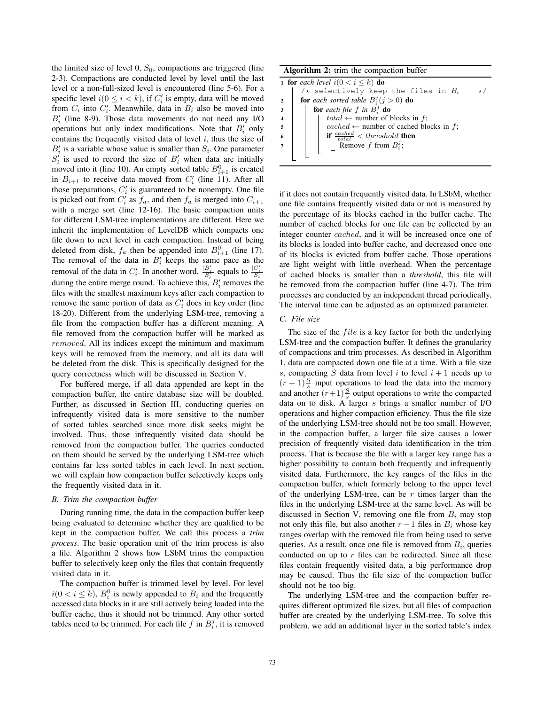the limited size of level  $0, S_0$ , compactions are triggered (line 2-3). Compactions are conducted level by level until the last level or a non-full-sized level is encountered (line 5-6). For a specific level  $i(0 \le i < k)$ , if  $C'_i$  is empty, data will be moved<br>from  $C_i$  into  $C'_i$ . Meanwhile, data in  $R_i$  also be moved into from  $C_i$  into  $C'_i$ . Meanwhile, data in  $B_i$  also be moved into  $B'_i$  (line 8.0). Those data movements do not need any  $U_0$  $B'_i$  (line 8-9). Those data movements do not need any I/O<br>operations but only index modifications. Note that  $B'$  only operations but only index modifications. Note that  $B_i^j$  only<br>contains the frequently visited data of level i, thus the size of contains the frequently visited data of level  $i$ , thus the size of  $B'_i$  is a variable whose value is smaller than  $S_i$ . One parameter  $S'$  is used to record the size of  $B'$  when data are initially  $S_i^i$  is used to record the size of  $B_i^i$  when data are initially<br>moved into it (line 10). An empty sorted table  $B_i^0$  is created moved into it (line 10). An empty sorted table  $B_{i+1}^0$  is created<br>in  $B_{i+1}$  is creative data moved from  $C'$  (line 11). After all in  $B_{i+1}$  to receive data moved from  $C_i'$  (line 11). After all<br>those preparations  $C'$  is quaranteed to be nonempty. One file those preparations,  $C_i$  is guaranteed to be nonempty. One file<br>is picked out from  $C_i$  as f and then f is merged into  $C_i$ . is picked out from  $C_i^i$  as  $f_a$ , and then  $f_a$  is merged into  $C_{i+1}$ <br>with a merge sort (line 12-16). The basic compaction units with a merge sort (line 12-16). The basic compaction units for different LSM-tree implementations are different. Here we inherit the implementation of LevelDB which compacts one file down to next level in each compaction. Instead of being deleted from disk,  $f_a$  then be appended into  $B_{i+1}^0$  (line 17). The removal of the data in  $B_i'$  keeps the same pace as the<br>removal of the data in  $C_i'$ . In another word,  $\frac{|B_i'|}{S_i'}$  equals to  $\frac{|C_i'|}{S_i}$ <br>during the entire merge round. To objeve this  $B_i'$  removes the during the entire merge round. To achieve this,  $B_i'$  removes the files with the smallest maximum keys after each compaction to files with the smallest maximum keys after each compaction to remove the same portion of data as  $C_i$  does in key order (line 18-20). Different from the underlying J SM-tree, removing a 18-20). Different from the underlying LSM-tree, removing a file from the compaction buffer has a different meaning. A file removed from the compaction buffer will be marked as removed. All its indices except the minimum and maximum keys will be removed from the memory, and all its data will be deleted from the disk. This is specifically designed for the query correctness which will be discussed in Section V.

For buffered merge, if all data appended are kept in the compaction buffer, the entire database size will be doubled. Further, as discussed in Section III, conducting queries on infrequently visited data is more sensitive to the number of sorted tables searched since more disk seeks might be involved. Thus, those infrequently visited data should be removed from the compaction buffer. The queries conducted on them should be served by the underlying LSM-tree which contains far less sorted tables in each level. In next section, we will explain how compaction buffer selectively keeps only the frequently visited data in it.

## *B. Trim the compaction buffer*

During running time, the data in the compaction buffer keep being evaluated to determine whether they are qualified to be kept in the compaction buffer. We call this process a *trim process*. The basic operation unit of the trim process is also a file. Algorithm 2 shows how LSbM trims the compaction buffer to selectively keep only the files that contain frequently visited data in it.

The compaction buffer is trimmed level by level. For level  $i(0 \lt i \lt k)$ ,  $B_i^0$  is newly appended to  $B_i$  and the frequently<br>accessed data blocks in it are still actively being loaded into the accessed data blocks in it are still actively being loaded into the buffer cache, thus it should not be trimmed. Any other sorted tables need to be trimmed. For each file f in  $B_i^j$ , it is removed

Algorithm 2: trim the compaction buffer

|                         | <b>1 for</b> each level $i(0 \lt i \leq k)$ <b>do</b> |  |
|-------------------------|-------------------------------------------------------|--|
|                         | /* selectively keep the files in $B_i$                |  |
| $\overline{2}$          | <b>for</b> each sorted table $B_i^j(j>0)$ <b>do</b>   |  |
| $\overline{\mathbf{3}}$ | <b>for</b> each file f in $B_i^j$ <b>do</b>           |  |
| $\overline{4}$          | $total \leftarrow$ number of blocks in f;             |  |
| 5                       | $cached \leftarrow$ number of cached blocks in f;     |  |
| 6                       | if $\frac{cache}{total}$ < threshold then             |  |
| $\overline{7}$          | Remove f from $B_i^j$ ;                               |  |
|                         |                                                       |  |
|                         |                                                       |  |

if it does not contain frequently visited data. In LSbM, whether one file contains frequently visited data or not is measured by the percentage of its blocks cached in the buffer cache. The number of cached blocks for one file can be collected by an integer counter *cached*, and it will be increased once one of its blocks is loaded into buffer cache, and decreased once one of its blocks is evicted from buffer cache. Those operations are light weight with little overhead. When the percentage of cached blocks is smaller than a *threshold*, this file will be removed from the compaction buffer (line 4-7). The trim processes are conducted by an independent thread periodically. The interval time can be adjusted as an optimized parameter.

## *C. File size*

The size of the  $file$  is a key factor for both the underlying LSM-tree and the compaction buffer. It defines the granularity of compactions and trim processes. As described in Algorithm 1, data are compacted down one file at a time. With a file size s, compacting S data from level i to level  $i + 1$  needs up to  $(r + 1)\frac{S}{s}$  input operations to load the data into the memory<br>and another  $(r+1)\frac{S}{s}$  output operations to write the compacted and another  $(r+1) \frac{S}{s}$  output operations to write the compacted<br>data on to disk. A larger s brings a smaller number of UO data on to disk. A larger s brings a smaller number of I/O operations and higher compaction efficiency. Thus the file size of the underlying LSM-tree should not be too small. However, in the compaction buffer, a larger file size causes a lower precision of frequently visited data identification in the trim process. That is because the file with a larger key range has a higher possibility to contain both frequently and infrequently visited data. Furthermore, the key ranges of the files in the compaction buffer, which formerly belong to the upper level of the underlying LSM-tree, can be  $r$  times larger than the files in the underlying LSM-tree at the same level. As will be discussed in Section V, removing one file from  $B_i$  may stop not only this file, but also another  $r - 1$  files in  $B_i$  whose key ranges overlap with the removed file from being used to serve queries. As a result, once one file is removed from  $B<sub>i</sub>$ , queries conducted on up to  $r$  files can be redirected. Since all these files contain frequently visited data, a big performance drop may be caused. Thus the file size of the compaction buffer should not be too big.

The underlying LSM-tree and the compaction buffer requires different optimized file sizes, but all files of compaction buffer are created by the underlying LSM-tree. To solve this problem, we add an additional layer in the sorted table's index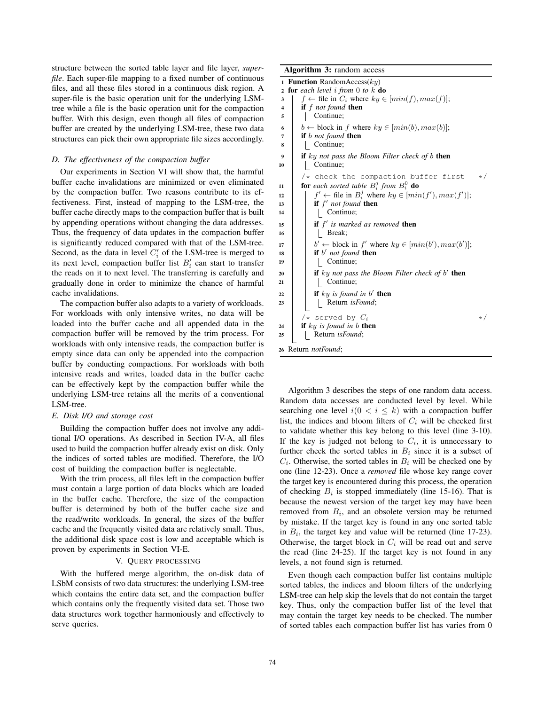structure between the sorted table layer and file layer, *superfile*. Each super-file mapping to a fixed number of continuous files, and all these files stored in a continuous disk region. A super-file is the basic operation unit for the underlying LSMtree while a file is the basic operation unit for the compaction buffer. With this design, even though all files of compaction buffer are created by the underlying LSM-tree, these two data structures can pick their own appropriate file sizes accordingly.

## *D. The effectiveness of the compaction buffer*

Our experiments in Section VI will show that, the harmful buffer cache invalidations are minimized or even eliminated by the compaction buffer. Two reasons contribute to its effectiveness. First, instead of mapping to the LSM-tree, the buffer cache directly maps to the compaction buffer that is built by appending operations without changing the data addresses. Thus, the frequency of data updates in the compaction buffer is significantly reduced compared with that of the LSM-tree. Second, as the data in level  $C_i'$  of the LSM-tree is merged to its next level, compaction buffer list  $R'$  can start to transfer its next level, compaction buffer list  $B_i$  can start to transfer<br>the reads on it to next level. The transferring is carefully and the reads on it to next level. The transferring is carefully and gradually done in order to minimize the chance of harmful cache invalidations.

The compaction buffer also adapts to a variety of workloads. For workloads with only intensive writes, no data will be loaded into the buffer cache and all appended data in the compaction buffer will be removed by the trim process. For workloads with only intensive reads, the compaction buffer is empty since data can only be appended into the compaction buffer by conducting compactions. For workloads with both intensive reads and writes, loaded data in the buffer cache can be effectively kept by the compaction buffer while the underlying LSM-tree retains all the merits of a conventional LSM-tree.

### *E. Disk I/O and storage cost*

Building the compaction buffer does not involve any additional I/O operations. As described in Section IV-A, all files used to build the compaction buffer already exist on disk. Only the indices of sorted tables are modified. Therefore, the I/O cost of building the compaction buffer is neglectable.

With the trim process, all files left in the compaction buffer must contain a large portion of data blocks which are loaded in the buffer cache. Therefore, the size of the compaction buffer is determined by both of the buffer cache size and the read/write workloads. In general, the sizes of the buffer cache and the frequently visited data are relatively small. Thus, the additional disk space cost is low and acceptable which is proven by experiments in Section VI-E.

### V. QUERY PROCESSING

With the buffered merge algorithm, the on-disk data of LSbM consists of two data structures: the underlying LSM-tree which contains the entire data set, and the compaction buffer which contains only the frequently visited data set. Those two data structures work together harmoniously and effectively to serve queries.

# Algorithm 3: random access 1 **Function** RandomAccess( $ky$ )

```
2 for each level i from 0 to k do
3 \left\{\n \begin{array}{c}\n f \leftarrow \text{file in } C_i \text{ where } ky \in [min(f), max(f)];\n \end{array}\n \right.<br>4 if f \text{ not found then}if f not found then
5 | Continue;
6 b ← block in f where ky \in [min(b), max(b)];<br>7 if b not found then
       if b not found then
8 Continue;
 9 if ky not pass the Bloom Filter check of b then
10 | Continue;
       /* check the compaction buffer first */11 for each sorted table B_i^j from B_i^0 do
12 \left| \int_{S}^{f} \leftarrow file in B_i^j where ky \in [min(f'), max(f')];
13 if f' not found then
14 Continue;
\mathbf{15} if f' is marked as removed then
16 | | | Break;
17 \left| \begin{array}{c} b' \leftarrow \text{block in } f' \text{ where } ky \in [min(b'), max(b')]; \end{array} \right|\mathbf{18} if b' not found then
19 | | Continue;
20 if ky not pass the Bloom Filter check of b' then
21 | | Continue;
22 \mid if ky is found in b' then
23 Return isFound;
       /* served by C_i */
24 if ky is found in b then
25 Return isFound;
26 Return notFound;
```
Algorithm 3 describes the steps of one random data access. Random data accesses are conducted level by level. While searching one level  $i(0 \lt i \leq k)$  with a compaction buffer list, the indices and bloom filters of  $C_i$  will be checked first to validate whether this key belong to this level (line 3-10). If the key is judged not belong to  $C_i$ , it is unnecessary to further check the sorted tables in  $B_i$  since it is a subset of  $C_i$ . Otherwise, the sorted tables in  $B_i$  will be checked one by one (line 12-23). Once a *removed* file whose key range cover the target key is encountered during this process, the operation of checking  $B_i$  is stopped immediately (line 15-16). That is because the newest version of the target key may have been removed from  $B_i$ , and an obsolete version may be returned by mistake. If the target key is found in any one sorted table in  $B_i$ , the target key and value will be returned (line 17-23). Otherwise, the target block in  $C_i$  will be read out and serve the read (line 24-25). If the target key is not found in any levels, a not found sign is returned.

Even though each compaction buffer list contains multiple sorted tables, the indices and bloom filters of the underlying LSM-tree can help skip the levels that do not contain the target key. Thus, only the compaction buffer list of the level that may contain the target key needs to be checked. The number of sorted tables each compaction buffer list has varies from 0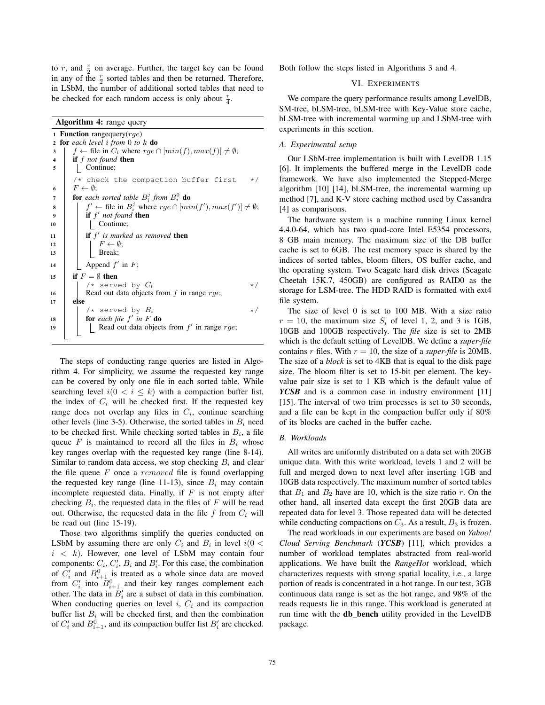to r, and  $\frac{r}{2}$  on average. Further, the target key can be found in any of the  $\frac{r}{2}$  sorted tables and then be returned. Therefore, in LSbM, the number of additional sorted tables that need to be checked for each random access is only about  $\frac{r}{4}$ .

# Algorithm 4: range query

1 **Function** rangequery( $rqe$ ) <sup>2</sup> for *each level* i *from* 0 *to* k do 3  $\left\{\n \begin{array}{c}\n f \leftarrow \text{file in } C_i \text{ where } rge \cap [min(f), max(f)] \neq \emptyset; \\
 4 \quad \text{if } f \text{ not found then}\n \end{array}\n\right\}$ if f not found then 5 | Continue;  $/*$  check the compaction buffer first  $*/$ 6  $F \leftarrow \emptyset;$ <br>7 for each **for** each sorted table  $B_i^j$  from  $B_i^0$  **do 8** file in  $B_i^j$  where  $rge \cap [min(f'), max(f')] \neq \emptyset$ ;  $9 \mid \textbf{if} \; f' \; \textit{not} \; \textit{found} \; \textbf{then}$ 10 | | | Continue;  $\mathbf{11}$  **if**  $f'$  is marked as removed **then**  $\begin{array}{c|c} 12 \\ 13 \end{array}$   $\begin{array}{|c|c|c|c|c|} \hline & F \leftarrow \emptyset; \\ \hline \text{Break}; \\ \hline \end{array}$ Break; 14 | | Append  $f'$  in  $F$ ; 15  $\parallel$  if  $F = \emptyset$  then  $/*$  served by  $C_i$ 16 Read out data objects from  $f$  in range  $rge$ ; <sup>17</sup> else /\* served by  $B_i$  \*/  $18$  **for** each file  $f'$  in  $F$  do 19 | Read out data objects from  $f'$  in range  $rge$ ;

The steps of conducting range queries are listed in Algorithm 4. For simplicity, we assume the requested key range can be covered by only one file in each sorted table. While searching level  $i(0 \lt i \leq k)$  with a compaction buffer list, the index of  $C_i$  will be checked first. If the requested key range does not overlap any files in  $C_i$ , continue searching other levels (line 3-5). Otherwise, the sorted tables in  $B_i$  need to be checked first. While checking sorted tables in  $B_i$ , a file queue F is maintained to record all the files in  $B_i$  whose key ranges overlap with the requested key range (line 8-14). Similar to random data access, we stop checking  $B_i$  and clear the file queue  $F$  once a removed file is found overlapping the requested key range (line 11-13), since  $B_i$  may contain incomplete requested data. Finally, if  $F$  is not empty after checking  $B_i$ , the requested data in the files of F will be read out. Otherwise, the requested data in the file  $f$  from  $C_i$  will be read out (line 15-19).

Those two algorithms simplify the queries conducted on LSbM by assuming there are only  $C_i$  and  $B_i$  in level  $i(0 <$  $i < k$ ). However, one level of LSbM may contain four components:  $C_i$ ,  $C'_i$ ,  $B_i$  and  $B'_i$ . For this case, the combination<br>of  $C'$  and  $B^0$  is tracted as a whole since data are moved of  $\overline{C'_i}$  and  $\overline{B^0_{i+1}}$  is treated as a whole since data are moved<br>from  $C'$  into  $\overline{B^0}$  and their key ranges complement each from  $C_i'$  into  $B_{i+1}^0$  and their key ranges complement each other The data in  $B'$  are a subset of data in this combination. other. The data in  $B_i$  are a subset of data in this combination.<br>When conducting queries on layel i.  $C_i$  and its connection When conducting queries on level  $i$ ,  $C_i$  and its compaction buffer list  $B_i$  will be checked first, and then the combination of  $C_i'$  and  $B_{i+1}^0$ , and its compaction buffer list  $B_i'$  are checked. Both follow the steps listed in Algorithms 3 and 4.

# VI. EXPERIMENTS

We compare the query performance results among LevelDB, SM-tree, bLSM-tree, bLSM-tree with Key-Value store cache, bLSM-tree with incremental warming up and LSbM-tree with experiments in this section.

#### *A. Experimental setup*

Our LSbM-tree implementation is built with LevelDB 1.15 [6]. It implements the buffered merge in the LevelDB code framework. We have also implemented the Stepped-Merge algorithm [10] [14], bLSM-tree, the incremental warming up method [7], and K-V store caching method used by Cassandra [4] as comparisons.

The hardware system is a machine running Linux kernel 4.4.0-64, which has two quad-core Intel E5354 processors, 8 GB main memory. The maximum size of the DB buffer cache is set to 6GB. The rest memory space is shared by the indices of sorted tables, bloom filters, OS buffer cache, and the operating system. Two Seagate hard disk drives (Seagate Cheetah 15K.7, 450GB) are configured as RAID0 as the storage for LSM-tree. The HDD RAID is formatted with ext4 file system.

The size of level 0 is set to 100 MB. With a size ratio  $r = 10$ , the maximum size  $S_i$  of level 1, 2, and 3 is 1GB, 10GB and 100GB respectively. The *file* size is set to 2MB which is the default setting of LevelDB. We define a *super-file* contains r files. With  $r = 10$ , the size of a *super-file* is 20MB. The size of a *block* is set to 4KB that is equal to the disk page size. The bloom filter is set to 15-bit per element. The keyvalue pair size is set to 1 KB which is the default value of *YCSB* and is a common case in industry environment [11] [15]. The interval of two trim processes is set to 30 seconds, and a file can be kept in the compaction buffer only if 80% of its blocks are cached in the buffer cache.

## *B. Workloads*

All writes are uniformly distributed on a data set with 20GB unique data. With this write workload, levels 1 and 2 will be full and merged down to next level after inserting 1GB and 10GB data respectively. The maximum number of sorted tables that  $B_1$  and  $B_2$  have are 10, which is the size ratio r. On the other hand, all inserted data except the first 20GB data are repeated data for level 3. Those repeated data will be detected while conducting compactions on  $C_3$ . As a result,  $B_3$  is frozen.

The read workloads in our experiments are based on *Yahoo! Cloud Serving Benchmark* (*YCSB*) [11], which provides a number of workload templates abstracted from real-world applications. We have built the *RangeHot* workload, which characterizes requests with strong spatial locality, i.e., a large portion of reads is concentrated in a hot range. In our test, 3GB continuous data range is set as the hot range, and 98% of the reads requests lie in this range. This workload is generated at run time with the **db\_bench** utility provided in the LevelDB package.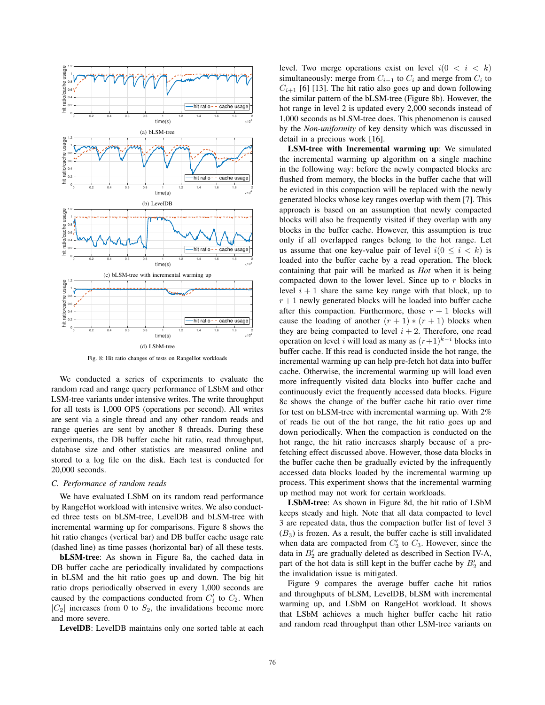

Fig. 8: Hit ratio changes of tests on RangeHot workloads

We conducted a series of experiments to evaluate the random read and range query performance of LSbM and other LSM-tree variants under intensive writes. The write throughput for all tests is 1,000 OPS (operations per second). All writes are sent via a single thread and any other random reads and range queries are sent by another 8 threads. During these experiments, the DB buffer cache hit ratio, read throughput, database size and other statistics are measured online and stored to a log file on the disk. Each test is conducted for 20,000 seconds.

# *C. Performance of random reads*

We have evaluated LSbM on its random read performance by RangeHot workload with intensive writes. We also conducted three tests on bLSM-tree, LevelDB and bLSM-tree with incremental warming up for comparisons. Figure 8 shows the hit ratio changes (vertical bar) and DB buffer cache usage rate (dashed line) as time passes (horizontal bar) of all these tests.

bLSM-tree: As shown in Figure 8a, the cached data in DB buffer cache are periodically invalidated by compactions in bLSM and the hit ratio goes up and down. The big hit ratio drops periodically observed in every 1,000 seconds are caused by the compactions conducted from  $C'_1$  to  $C_2$ . When  $|C_2|$  increases from 0 to  $S_2$ , the invalidations become more and more severe.

LevelDB: LevelDB maintains only one sorted table at each

level. Two merge operations exist on level  $i(0 \lt i \lt k)$ simultaneously: merge from  $C_{i-1}$  to  $C_i$  and merge from  $C_i$  to  $C_{i+1}$  [6] [13]. The hit ratio also goes up and down following<br>the similar pattern of the hI SM tree (Figure 8b) Housing the the similar pattern of the bLSM-tree (Figure 8b). However, the hot range in level 2 is updated every 2,000 seconds instead of 1,000 seconds as bLSM-tree does. This phenomenon is caused by the *Non-uniformity* of key density which was discussed in detail in a precious work [16].

LSM-tree with Incremental warming up: We simulated the incremental warming up algorithm on a single machine in the following way: before the newly compacted blocks are flushed from memory, the blocks in the buffer cache that will be evicted in this compaction will be replaced with the newly generated blocks whose key ranges overlap with them [7]. This approach is based on an assumption that newly compacted blocks will also be frequently visited if they overlap with any blocks in the buffer cache. However, this assumption is true only if all overlapped ranges belong to the hot range. Let us assume that one key-value pair of level  $i(0 \leq i \leq k)$  is loaded into the buffer cache by a read operation. The block containing that pair will be marked as *Hot* when it is being compacted down to the lower level. Since up to  $r$  blocks in level  $i + 1$  share the same key range with that block, up to  $r+1$  newly generated blocks will be loaded into buffer cache after this compaction. Furthermore, those  $r + 1$  blocks will cause the loading of another  $(r + 1) * (r + 1)$  blocks when they are being compacted to level  $i + 2$ . Therefore, one read operation on level i will load as many as  $(r+1)^{k-i}$  blocks into buffer cache. If this read is conducted inside the hot range, the incremental warming up can help pre-fetch hot data into buffer cache. Otherwise, the incremental warming up will load even more infrequently visited data blocks into buffer cache and continuously evict the frequently accessed data blocks. Figure 8c shows the change of the buffer cache hit ratio over time for test on bLSM-tree with incremental warming up. With 2% of reads lie out of the hot range, the hit ratio goes up and down periodically. When the compaction is conducted on the hot range, the hit ratio increases sharply because of a prefetching effect discussed above. However, those data blocks in the buffer cache then be gradually evicted by the infrequently accessed data blocks loaded by the incremental warming up process. This experiment shows that the incremental warming up method may not work for certain workloads.

LSbM-tree: As shown in Figure 8d, the hit ratio of LSbM keeps steady and high. Note that all data compacted to level 3 are repeated data, thus the compaction buffer list of level 3  $(B_3)$  is frozen. As a result, the buffer cache is still invalidated when data are compacted from  $C_2'$  to  $C_3$ . However, since the data in  $B_2'$  are gradually deleted as described in Section IV-A, part of the hot data is still kept in the buffer cache by  $B_2'$  and the invalidation issue is mitigated.

Figure 9 compares the average buffer cache hit ratios and throughputs of bLSM, LevelDB, bLSM with incremental warming up, and LSbM on RangeHot workload. It shows that LSbM achieves a much higher buffer cache hit ratio and random read throughput than other LSM-tree variants on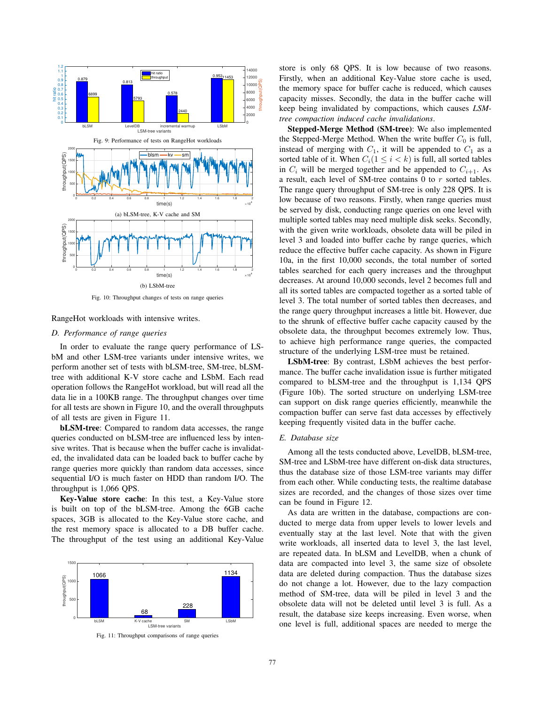

Fig. 10: Throughput changes of tests on range queries

RangeHot workloads with intensive writes.

#### *D. Performance of range queries*

In order to evaluate the range query performance of LSbM and other LSM-tree variants under intensive writes, we perform another set of tests with bLSM-tree, SM-tree, bLSMtree with additional K-V store cache and LSbM. Each read operation follows the RangeHot workload, but will read all the data lie in a 100KB range. The throughput changes over time for all tests are shown in Figure 10, and the overall throughputs of all tests are given in Figure 11.

bLSM-tree: Compared to random data accesses, the range queries conducted on bLSM-tree are influenced less by intensive writes. That is because when the buffer cache is invalidated, the invalidated data can be loaded back to buffer cache by range queries more quickly than random data accesses, since sequential I/O is much faster on HDD than random I/O. The throughput is 1,066 QPS.

Key-Value store cache: In this test, a Key-Value store is built on top of the bLSM-tree. Among the 6GB cache spaces, 3GB is allocated to the Key-Value store cache, and the rest memory space is allocated to a DB buffer cache. The throughput of the test using an additional Key-Value



Fig. 11: Throughput comparisons of range queries

store is only 68 QPS. It is low because of two reasons. Firstly, when an additional Key-Value store cache is used, the memory space for buffer cache is reduced, which causes capacity misses. Secondly, the data in the buffer cache will keep being invalidated by compactions, which causes *LSMtree compaction induced cache invalidations*.

Stepped-Merge Method (SM-tree): We also implemented the Stepped-Merge Method. When the write buffer  $C_0$  is full, instead of merging with  $C_1$ , it will be appended to  $C_1$  as a sorted table of it. When  $C_i(1 \leq i < k)$  is full, all sorted tables in  $C_i$  will be merged together and be appended to  $C_{i+1}$ . As a result, each level of SM-tree contains 0 to r sorted tables. The range query throughput of SM-tree is only 228 QPS. It is low because of two reasons. Firstly, when range queries must be served by disk, conducting range queries on one level with multiple sorted tables may need multiple disk seeks. Secondly, with the given write workloads, obsolete data will be piled in level 3 and loaded into buffer cache by range queries, which reduce the effective buffer cache capacity. As shown in Figure 10a, in the first 10,000 seconds, the total number of sorted tables searched for each query increases and the throughput decreases. At around 10,000 seconds, level 2 becomes full and all its sorted tables are compacted together as a sorted table of level 3. The total number of sorted tables then decreases, and the range query throughput increases a little bit. However, due to the shrunk of effective buffer cache capacity caused by the obsolete data, the throughput becomes extremely low. Thus, to achieve high performance range queries, the compacted structure of the underlying LSM-tree must be retained.

LSbM-tree: By contrast, LSbM achieves the best performance. The buffer cache invalidation issue is further mitigated compared to bLSM-tree and the throughput is 1,134 QPS (Figure 10b). The sorted structure on underlying LSM-tree can support on disk range queries efficiently, meanwhile the compaction buffer can serve fast data accesses by effectively keeping frequently visited data in the buffer cache.

#### *E. Database size*

Among all the tests conducted above, LevelDB, bLSM-tree, SM-tree and LSbM-tree have different on-disk data structures, thus the database size of those LSM-tree variants may differ from each other. While conducting tests, the realtime database sizes are recorded, and the changes of those sizes over time can be found in Figure 12.

As data are written in the database, compactions are conducted to merge data from upper levels to lower levels and eventually stay at the last level. Note that with the given write workloads, all inserted data to level 3, the last level, are repeated data. In bLSM and LevelDB, when a chunk of data are compacted into level 3, the same size of obsolete data are deleted during compaction. Thus the database sizes do not change a lot. However, due to the lazy compaction method of SM-tree, data will be piled in level 3 and the obsolete data will not be deleted until level 3 is full. As a result, the database size keeps increasing. Even worse, when one level is full, additional spaces are needed to merge the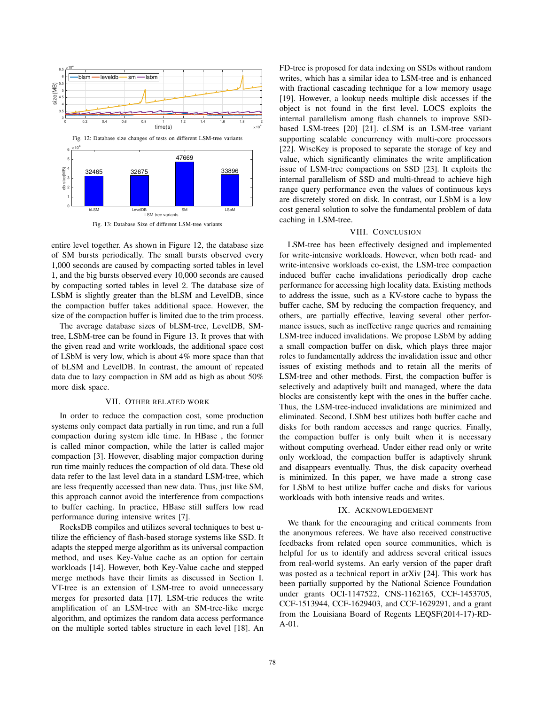

entire level together. As shown in Figure 12, the database size of SM bursts periodically. The small bursts observed every 1,000 seconds are caused by compacting sorted tables in level 1, and the big bursts observed every 10,000 seconds are caused by compacting sorted tables in level 2. The database size of LSbM is slightly greater than the bLSM and LevelDB, since the compaction buffer takes additional space. However, the size of the compaction buffer is limited due to the trim process.

The average database sizes of bLSM-tree, LevelDB, SMtree, LSbM-tree can be found in Figure 13. It proves that with the given read and write workloads, the additional space cost of LSbM is very low, which is about 4% more space than that of bLSM and LevelDB. In contrast, the amount of repeated data due to lazy compaction in SM add as high as about 50% more disk space.

# VII. OTHER RELATED WORK

In order to reduce the compaction cost, some production systems only compact data partially in run time, and run a full compaction during system idle time. In HBase , the former is called minor compaction, while the latter is called major compaction [3]. However, disabling major compaction during run time mainly reduces the compaction of old data. These old data refer to the last level data in a standard LSM-tree, which are less frequently accessed than new data. Thus, just like SM, this approach cannot avoid the interference from compactions to buffer caching. In practice, HBase still suffers low read performance during intensive writes [7].

RocksDB compiles and utilizes several techniques to best utilize the efficiency of flash-based storage systems like SSD. It adapts the stepped merge algorithm as its universal compaction method, and uses Key-Value cache as an option for certain workloads [14]. However, both Key-Value cache and stepped merge methods have their limits as discussed in Section I. VT-tree is an extension of LSM-tree to avoid unnecessary merges for presorted data [17]. LSM-trie reduces the write amplification of an LSM-tree with an SM-tree-like merge algorithm, and optimizes the random data access performance on the multiple sorted tables structure in each level [18]. An

FD-tree is proposed for data indexing on SSDs without random writes, which has a similar idea to LSM-tree and is enhanced with fractional cascading technique for a low memory usage [19]. However, a lookup needs multiple disk accesses if the object is not found in the first level. LOCS exploits the internal parallelism among flash channels to improve SSDbased LSM-trees [20] [21]. cLSM is an LSM-tree variant supporting scalable concurrency with multi-core processors [22]. WiscKey is proposed to separate the storage of key and value, which significantly eliminates the write amplification issue of LSM-tree compactions on SSD [23]. It exploits the internal parallelism of SSD and multi-thread to achieve high range query performance even the values of continuous keys are discretely stored on disk. In contrast, our LSbM is a low cost general solution to solve the fundamental problem of data caching in LSM-tree.

#### VIII. CONCLUSION

LSM-tree has been effectively designed and implemented for write-intensive workloads. However, when both read- and write-intensive workloads co-exist, the LSM-tree compaction induced buffer cache invalidations periodically drop cache performance for accessing high locality data. Existing methods to address the issue, such as a KV-store cache to bypass the buffer cache, SM by reducing the compaction frequency, and others, are partially effective, leaving several other performance issues, such as ineffective range queries and remaining LSM-tree induced invalidations. We propose LSbM by adding a small compaction buffer on disk, which plays three major roles to fundamentally address the invalidation issue and other issues of existing methods and to retain all the merits of LSM-tree and other methods. First, the compaction buffer is selectively and adaptively built and managed, where the data blocks are consistently kept with the ones in the buffer cache. Thus, the LSM-tree-induced invalidations are minimized and eliminated. Second, LSbM best utilizes both buffer cache and disks for both random accesses and range queries. Finally, the compaction buffer is only built when it is necessary without computing overhead. Under either read only or write only workload, the compaction buffer is adaptively shrunk and disappears eventually. Thus, the disk capacity overhead is minimized. In this paper, we have made a strong case for LSbM to best utilize buffer cache and disks for various workloads with both intensive reads and writes.

# IX. ACKNOWLEDGEMENT

We thank for the encouraging and critical comments from the anonymous referees. We have also received constructive feedbacks from related open source communities, which is helpful for us to identify and address several critical issues from real-world systems. An early version of the paper draft was posted as a technical report in arXiv [24]. This work has been partially supported by the National Science Foundation under grants OCI-1147522, CNS-1162165, CCF-1453705, CCF-1513944, CCF-1629403, and CCF-1629291, and a grant from the Louisiana Board of Regents LEQSF(2014-17)-RD-A-01.